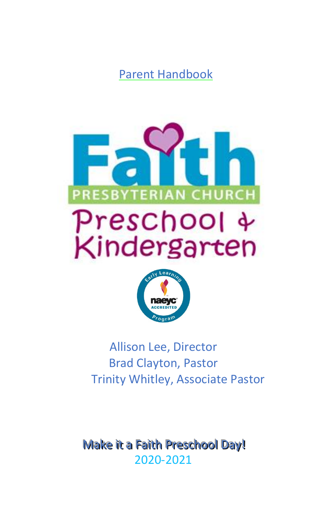Parent Handbook





Allison Lee, Director Brad Clayton, Pastor Trinity Whitley, Associate Pastor

Make it a Faith Preschool Day! 2020-2021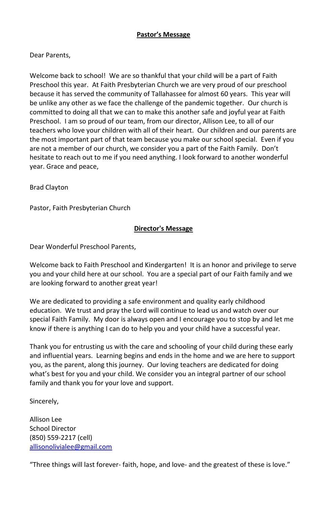## **Pastor's Message**

## Dear Parents,

Welcome back to school! We are so thankful that your child will be a part of Faith Preschool this year. At Faith Presbyterian Church we are very proud of our preschool because it has served the community of Tallahassee for almost 60 years. This year will be unlike any other as we face the challenge of the pandemic together. Our church is committed to doing all that we can to make this another safe and joyful year at Faith Preschool. I am so proud of our team, from our director, Allison Lee, to all of our teachers who love your children with all of their heart. Our children and our parents are the most important part of that team because you make our school special. Even if you are not a member of our church, we consider you a part of the Faith Family. Don't hesitate to reach out to me if you need anything. I look forward to another wonderful year. Grace and peace,

Brad Clayton

Pastor, Faith Presbyterian Church

### **Director's Message**

Dear Wonderful Preschool Parents,

Welcome back to Faith Preschool and Kindergarten! It is an honor and privilege to serve you and your child here at our school. You are a special part of our Faith family and we are looking forward to another great year!

We are dedicated to providing a safe environment and quality early childhood education. We trust and pray the Lord will continue to lead us and watch over our special Faith Family. My door is always open and I encourage you to stop by and let me know if there is anything I can do to help you and your child have a successful year.

Thank you for entrusting us with the care and schooling of your child during these early and influential years. Learning begins and ends in the home and we are here to support you, as the parent, along this journey. Our loving teachers are dedicated for doing what's best for you and your child. We consider you an integral partner of our school family and thank you for your love and support.

Sincerely,

Allison Lee School Director (850) 559-2217 (cell) [allisonolivialee@gmail.com](mailto:allisonolivialee@gmail.com)

"Three things will last forever- faith, hope, and love- and the greatest of these is love."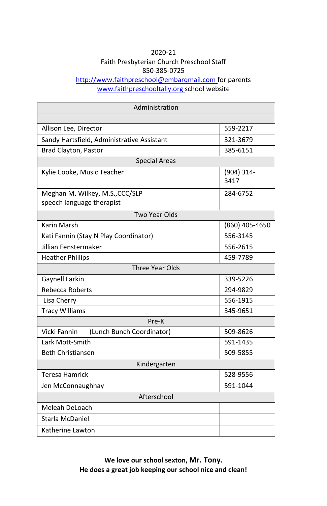# 2020-21 Faith Presbyterian Church Preschool Staff 850-385-0725

<http://www.faithpreschool@embarqmail.com> for parents [www.faithpreschooltally.org](http://www.faithpreschooltally.org/) school website

| Administration                                               |                       |  |
|--------------------------------------------------------------|-----------------------|--|
|                                                              |                       |  |
| Allison Lee, Director                                        | 559-2217              |  |
| Sandy Hartsfield, Administrative Assistant                   | 321-3679              |  |
| Brad Clayton, Pastor                                         | 385-6151              |  |
| <b>Special Areas</b>                                         |                       |  |
| Kylie Cooke, Music Teacher                                   | $(904) 314 -$<br>3417 |  |
| Meghan M. Wilkey, M.S., CCC/SLP<br>speech language therapist | 284-6752              |  |
| <b>Two Year Olds</b>                                         |                       |  |
| Karin Marsh                                                  | (860) 405-4650        |  |
| Kati Fannin (Stay N Play Coordinator)                        | 556-3145              |  |
| Jillian Fenstermaker                                         | 556-2615              |  |
| <b>Heather Phillips</b>                                      | 459-7789              |  |
| Three Year Olds                                              |                       |  |
| Gaynell Larkin                                               | 339-5226              |  |
| Rebecca Roberts                                              | 294-9829              |  |
| Lisa Cherry                                                  | 556-1915              |  |
| <b>Tracy Williams</b>                                        | 345-9651              |  |
| Pre-K                                                        |                       |  |
| Vicki Fannin<br>(Lunch Bunch Coordinator)                    | 509-8626              |  |
| Lark Mott-Smith                                              | 591-1435              |  |
| <b>Beth Christiansen</b>                                     | 509-5855              |  |
| Kindergarten                                                 |                       |  |
| <b>Teresa Hamrick</b>                                        | 528-9556              |  |
| Jen McConnaughhay                                            | 591-1044              |  |
| Afterschool                                                  |                       |  |
| Meleah DeLoach                                               |                       |  |
| Starla McDaniel                                              |                       |  |
| Katherine Lawton                                             |                       |  |

**We love our school sexton, Mr. Tony. He does a great job keeping our school nice and clean!**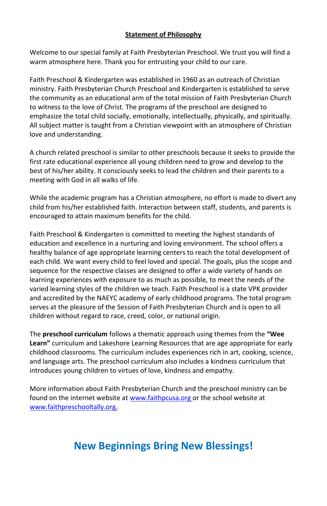# **Statement of Philosophy**

Welcome to our special family at Faith Presbyterian Preschool. We trust you will find a warm atmosphere here. Thank you for entrusting your child to our care.

Faith Preschool & Kindergarten was established in 1960 as an outreach of Christian ministry. Faith Presbyterian Church Preschool and Kindergarten is established to serve the community as an educational arm of the total mission of Faith Presbyterian Church to witness to the love of Christ. The programs of the preschool are designed to emphasize the total child socially, emotionally, intellectually, physically, and spiritually. All subject matter is taught from a Christian viewpoint with an atmosphere of Christian love and understanding.

A church related preschool is similar to other preschools because it seeks to provide the first rate educational experience all young children need to grow and develop to the best of his/her ability. It consciously seeks to lead the children and their parents to a meeting with God in all walks of life.

While the academic program has a Christian atmosphere, no effort is made to divert any child from his/her established faith. Interaction between staff, students, and parents is encouraged to attain maximum benefits for the child.

Faith Preschool & Kindergarten is committed to meeting the highest standards of education and excellence in a nurturing and loving environment. The school offers a healthy balance of age appropriate learning centers to reach the total development of each child. We want every child to feel loved and special. The goals, plus the scope and sequence for the respective classes are designed to offer a wide variety of hands on learning experiences with exposure to as much as possible, to meet the needs of the varied learning styles of the children we teach. Faith Preschool is a state VPK provider and accredited by the NAEYC academy of early childhood programs. The total program serves at the pleasure of the Session of Faith Presbyterian Church and is open to all children without regard to race, creed, color, or national origin.

The **preschool curriculum** follows a thematic approach using themes from the **"Wee Learn"** curriculum and Lakeshore Learning Resources that are age appropriate for early childhood classrooms. The curriculum includes experiences rich in art, cooking, science, and language arts. The preschool curriculum also includes a kindness curriculum that introduces young children to virtues of love, kindness and empathy.

More information about Faith Presbyterian Church and the preschool ministry can be found on the internet website a[t www.faithpcusa.org](http://www.faithpcusa.org/) or the school website at [www.faithpreschooltally.org.](http://www.faithpreschooltally.org/) 

# **New Beginnings Bring New Blessings!**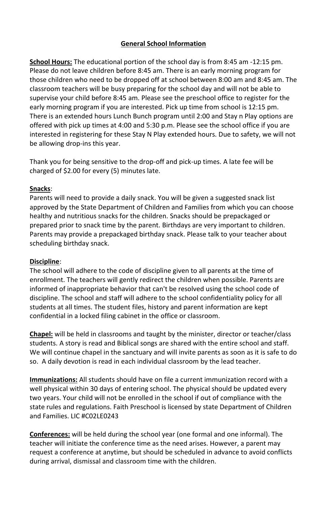# **General School Information**

**School Hours:** The educational portion of the school day is from 8:45 am -12:15 pm. Please do not leave children before 8:45 am. There is an early morning program for those children who need to be dropped off at school between 8:00 am and 8:45 am. The classroom teachers will be busy preparing for the school day and will not be able to supervise your child before 8:45 am. Please see the preschool office to register for the early morning program if you are interested. Pick up time from school is 12:15 pm. There is an extended hours Lunch Bunch program until 2:00 and Stay n Play options are offered with pick up times at 4:00 and 5:30 p.m. Please see the school office if you are interested in registering for these Stay N Play extended hours. Due to safety, we will not be allowing drop-ins this year.

Thank you for being sensitive to the drop-off and pick-up times. A late fee will be charged of \$2.00 for every (5) minutes late.

## **Snacks**:

Parents will need to provide a daily snack. You will be given a suggested snack list approved by the State Department of Children and Families from which you can choose healthy and nutritious snacks for the children. Snacks should be prepackaged or prepared prior to snack time by the parent. Birthdays are very important to children. Parents may provide a prepackaged birthday snack. Please talk to your teacher about scheduling birthday snack.

### **Discipline**:

The school will adhere to the code of discipline given to all parents at the time of enrollment. The teachers will gently redirect the children when possible. Parents are informed of inappropriate behavior that can't be resolved using the school code of discipline. The school and staff will adhere to the school confidentiality policy for all students at all times. The student files, history and parent information are kept confidential in a locked filing cabinet in the office or classroom.

**Chapel:** will be held in classrooms and taught by the minister, director or teacher/class students. A story is read and Biblical songs are shared with the entire school and staff. We will continue chapel in the sanctuary and will invite parents as soon as it is safe to do so. A daily devotion is read in each individual classroom by the lead teacher.

**Immunizations:** All students should have on file a current immunization record with a well physical within 30 days of entering school. The physical should be updated every two years. Your child will not be enrolled in the school if out of compliance with the state rules and regulations. Faith Preschool is licensed by state Department of Children and Families. LIC #C02LE0243

**Conferences:** will be held during the school year (one formal and one informal). The teacher will initiate the conference time as the need arises. However, a parent may request a conference at anytime, but should be scheduled in advance to avoid conflicts during arrival, dismissal and classroom time with the children.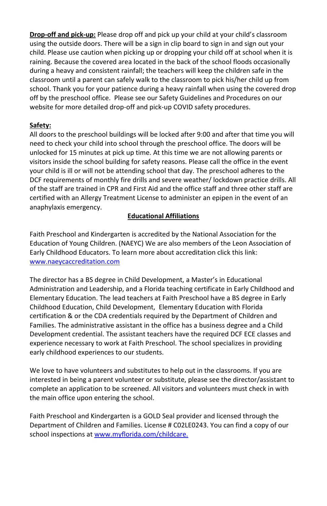**Drop-off and pick-up:** Please drop off and pick up your child at your child's classroom using the outside doors. There will be a sign in clip board to sign in and sign out your child. Please use caution when picking up or dropping your child off at school when it is raining. Because the covered area located in the back of the school floods occasionally during a heavy and consistent rainfall; the teachers will keep the children safe in the classroom until a parent can safely walk to the classroom to pick his/her child up from school. Thank you for your patience during a heavy rainfall when using the covered drop off by the preschool office. Please see our Safety Guidelines and Procedures on our website for more detailed drop-off and pick-up COVID safety procedures.

# **Safety:**

All doors to the preschool buildings will be locked after 9:00 and after that time you will need to check your child into school through the preschool office. The doors will be unlocked for 15 minutes at pick up time. At this time we are not allowing parents or visitors inside the school building for safety reasons. Please call the office in the event your child is ill or will not be attending school that day. The preschool adheres to the DCF requirements of monthly fire drills and severe weather/ lockdown practice drills. All of the staff are trained in CPR and First Aid and the office staff and three other staff are certified with an Allergy Treatment License to administer an epipen in the event of an anaphylaxis emergency.

# **Educational Affiliations**

Faith Preschool and Kindergarten is accredited by the National Association for the Education of Young Children. (NAEYC) We are also members of the Leon Association of Early Childhood Educators. To learn more about accreditation click this link: [www.naeycaccreditation.com](http://www.naeycaccreditation.com/)

The director has a BS degree in Child Development, a Master's in Educational Administration and Leadership, and a Florida teaching certificate in Early Childhood and Elementary Education. The lead teachers at Faith Preschool have a BS degree in Early Childhood Education, Child Development, Elementary Education with Florida certification & or the CDA credentials required by the Department of Children and Families. The administrative assistant in the office has a business degree and a Child Development credential. The assistant teachers have the required DCF ECE classes and experience necessary to work at Faith Preschool. The school specializes in providing early childhood experiences to our students.

We love to have volunteers and substitutes to help out in the classrooms. If you are interested in being a parent volunteer or substitute, please see the director/assistant to complete an application to be screened. All visitors and volunteers must check in with the main office upon entering the school.

Faith Preschool and Kindergarten is a GOLD Seal provider and licensed through the Department of Children and Families. License # C02LE0243. You can find a copy of our school inspections a[t www.myflorida.com/childcare.](../AppData/Roaming/Microsoft/Word/www.myflorida.com/childcare.)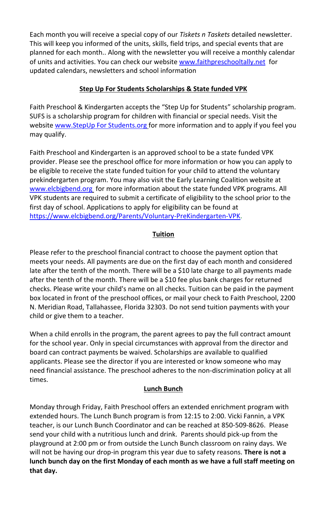Each month you will receive a special copy of our *Tiskets n Taskets* detailed newsletter. This will keep you informed of the units, skills, field trips, and special events that are planned for each month.. Along with the newsletter you will receive a monthly calendar of units and activities. You can check our websit[e www.faithpreschooltally.net](http://www.faithpreschooltally.net/) for updated calendars, newsletters and school information

# **Step Up For Students Scholarships & State funded VPK**

Faith Preschool & Kindergarten accepts the "Step Up for Students" scholarship program. SUFS is a scholarship program for children with financial or special needs. Visit the website [www.StepUp For Students.org](../AppData/Roaming/Bev12/AppData/Local/Packages/Microsoft.MicrosoftEdge_8wekyb3d8bbwe/TempState/Downloads/www.StepUp%20For%20Students.org) for more information and to apply if you feel you may qualify.

Faith Preschool and Kindergarten is an approved school to be a state funded VPK provider. Please see the preschool office for more information or how you can apply to be eligible to receive the state funded tuition for your child to attend the voluntary prekindergarten program. You may also visit the Early Learning Coalition website at [www.elcbigbend.org](http://www.elcbigbend.org/) for more information about the state funded VPK programs. All VPK students are required to submit a certificate of eligibility to the school prior to the first day of school. Applications to apply for eligibility can be found at [https://www.elcbigbend.org/Parents/Voluntary-PreKindergarten-VPK.](https://www.elcbigbend.org/Parents/Voluntary-PreKindergarten-VPK)

# **Tuition**

Please refer to the preschool financial contract to choose the payment option that meets your needs. All payments are due on the first day of each month and considered late after the tenth of the month. There will be a \$10 late charge to all payments made after the tenth of the month. There will be a \$10 fee plus bank charges for returned checks. Please write your child's name on all checks. Tuition can be paid in the payment box located in front of the preschool offices, or mail your check to Faith Preschool, 2200 N. Meridian Road, Tallahassee, Florida 32303. Do not send tuition payments with your child or give them to a teacher.

When a child enrolls in the program, the parent agrees to pay the full contract amount for the school year. Only in special circumstances with approval from the director and board can contract payments be waived. Scholarships are available to qualified applicants. Please see the director if you are interested or know someone who may need financial assistance. The preschool adheres to the non-discrimination policy at all times.

# **Lunch Bunch**

Monday through Friday, Faith Preschool offers an extended enrichment program with extended hours. The Lunch Bunch program is from 12:15 to 2:00. Vicki Fannin, a VPK teacher, is our Lunch Bunch Coordinator and can be reached at 850-509-8626. Please send your child with a nutritious lunch and drink. Parents should pick-up from the playground at 2:00 pm or from outside the Lunch Bunch classroom on rainy days. We will not be having our drop-in program this year due to safety reasons. **There is not a lunch bunch day on the first Monday of each month as we have a full staff meeting on that day.**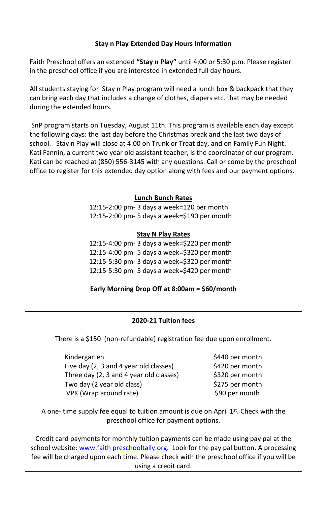## **Stay n Play Extended Day Hours Information**

Faith Preschool offers an extended **"Stay n Play"** until 4:00 or 5:30 p.m. Please register in the preschool office if you are interested in extended full day hours.

All students staying for Stay n Play program will need a lunch box & backpack that they can bring each day that includes a change of clothes, diapers etc. that may be needed during the extended hours.

SnP program starts on Tuesday, August 11th. This program is available each day except the following days: the last day before the Christmas break and the last two days of school. Stay n Play will close at 4:00 on Trunk or Treat day, and on Family Fun Night. Kati Fannin, a current two year old assistant teacher, is the coordinator of our program. Kati can be reached at (850) 556-3145 with any questions. Call or come by the preschool office to register for this extended day option along with fees and our payment options.

### **Lunch Bunch Rates**

12:15-2:00 pm- 3 days a week=120 per month 12:15-2:00 pm- 5 days a week=\$190 per month

### **Stay N Play Rates**

12:15-4:00 pm- 3 days a week=\$220 per month 12:15-4:00 pm- 5 days a week=\$320 per month 12:15-5:30 pm- 3 days a week=\$320 per month 12:15-5:30 pm- 5 days a week=\$420 per month

### **Early Morning Drop Off at 8:00am = \$60/month**

# **2020-21 Tuition fees**

There is a \$150 (non-refundable) registration fee due upon enrollment.

Kindergarten  $\frac{1}{2}$  Kindergarten  $\frac{1}{2}$  Kindergarten  $\frac{1}{2}$  Kindergarten  $\frac{1}{2}$ Five day (2, 3 and 4 year old classes)  $$420$  per month Three day (2, 3 and 4 year old classes) \$320 per month Two day (2 year old class)  $$275$  per month VPK (Wrap around rate)  $$90$  per month

A one- time supply fee equal to tuition amount is due on April  $1<sup>st</sup>$ . Check with the preschool office for payment options.

Credit card payments for monthly tuition payments can be made using pay pal at the school website: [www.faith preschooltally.org.](../AppData/Roaming/Microsoft/Word/www.faith%20preschooltally.org.) Look for the pay pal button. A processing fee will be charged upon each time. Please check with the preschool office if you will be using a credit card.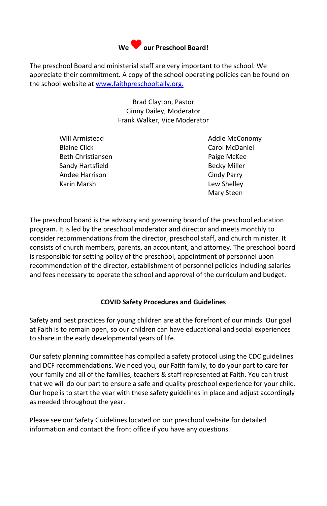

The preschool Board and ministerial staff are very important to the school. We appreciate their commitment. A copy of the school operating policies can be found on the school website at [www.faithpreschooltally.org.](../AppData/Roaming/Bev12/AppData/Local/Packages/Microsoft.MicrosoftEdge_8wekyb3d8bbwe/TempState/Downloads/www.faithpreschooltally.org) 

> Brad Clayton, Pastor Ginny Dailey, Moderator Frank Walker, Vice Moderator

Blaine Click Carol McDaniel Beth Christiansen **Paige McKee** Sandy Hartsfield **Becky Miller** Becky Miller Andee Harrison **Cindy Parry** Karin Marsh Lew Shelley

Will Armistead and Addie McConomy Mary Steen

The preschool board is the advisory and governing board of the preschool education program. It is led by the preschool moderator and director and meets monthly to consider recommendations from the director, preschool staff, and church minister. It consists of church members, parents, an accountant, and attorney. The preschool board is responsible for setting policy of the preschool, appointment of personnel upon recommendation of the director, establishment of personnel policies including salaries and fees necessary to operate the school and approval of the curriculum and budget.

# **COVID Safety Procedures and Guidelines**

Safety and best practices for young children are at the forefront of our minds. Our goal at Faith is to remain open, so our children can have educational and social experiences to share in the early developmental years of life.

Our safety planning committee has compiled a safety protocol using the CDC guidelines and DCF recommendations. We need you, our Faith family, to do your part to care for your family and all of the families, teachers & staff represented at Faith. You can trust that we will do our part to ensure a safe and quality preschool experience for your child. Our hope is to start the year with these safety guidelines in place and adjust accordingly as needed throughout the year.

Please see our Safety Guidelines located on our preschool website for detailed information and contact the front office if you have any questions.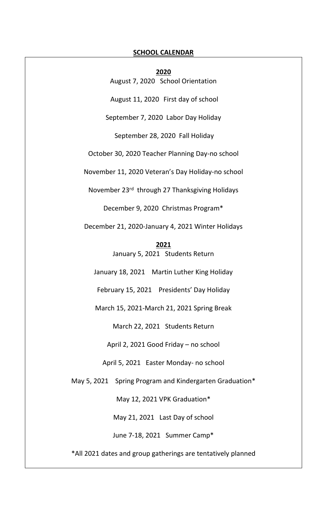#### **SCHOOL CALENDAR**

**2020** August 7, 2020 School Orientation August 11, 2020 First day of school September 7, 2020 Labor Day Holiday September 28, 2020 Fall Holiday October 30, 2020 Teacher Planning Day-no school November 11, 2020 Veteran's Day Holiday-no school November 23rd through 27 Thanksgiving Holidays December 9, 2020 Christmas Program\* December 21, 2020-January 4, 2021 Winter Holidays **2021** January 5, 2021 Students Return January 18, 2021 Martin Luther King Holiday February 15, 2021 Presidents' Day Holiday March 15, 2021-March 21, 2021 Spring Break March 22, 2021 Students Return April 2, 2021 Good Friday – no school April 5, 2021 Easter Monday- no school May 5, 2021 Spring Program and Kindergarten Graduation\* May 12, 2021 VPK Graduation\* May 21, 2021 Last Day of school June 7-18, 2021 Summer Camp\*

\*All 2021 dates and group gatherings are tentatively planned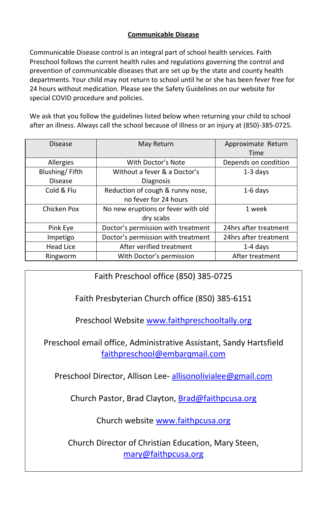# **Communicable Disease**

Communicable Disease control is an integral part of school health services. Faith Preschool follows the current health rules and regulations governing the control and prevention of communicable diseases that are set up by the state and county health departments. Your child may not return to school until he or she has been fever free for 24 hours without medication. Please see the Safety Guidelines on our website for special COVID procedure and policies.

We ask that you follow the guidelines listed below when returning your child to school after an illness. Always call the school because of illness or an injury at (850)-385-0725.

| <b>Disease</b> | May Return                         | Approximate Return    |
|----------------|------------------------------------|-----------------------|
|                |                                    | Time                  |
| Allergies      | With Doctor's Note                 | Depends on condition  |
| Blushing/Fifth | Without a fever & a Doctor's       | $1-3$ days            |
| <b>Disease</b> | Diagnosis                          |                       |
| Cold & Flu     | Reduction of cough & runny nose,   | $1-6$ days            |
|                | no fever for 24 hours              |                       |
| Chicken Pox    | No new eruptions or fever with old | 1 week                |
|                | dry scabs                          |                       |
| Pink Eye       | Doctor's permission with treatment | 24hrs after treatment |
| Impetigo       | Doctor's permission with treatment | 24hrs after treatment |
| Head Lice      | After verified treatment           | $1-4$ days            |
| Ringworm       | With Doctor's permission           | After treatment       |

Faith Preschool office (850) 385-0725

Faith Presbyterian Church office (850) 385-6151

Preschool Website [www.faithpreschooltally.org](http://www.faithpreschooltally.org/)

Preschool email office, Administrative Assistant, Sandy Hartsfield [faithpreschool@embarqmail.com](mailto:faithpreschool@embarqmail.com)

Preschool Director, Allison Lee- <allisonolivialee@gmail.com>

Church Pastor, Brad Clayton, [Brad@faithpcusa.org](mailto:Brad@faithpcusa.org)

Church websit[e www.faithpcusa.org](http://www.faithpcusa.org/)

Church Director of Christian Education, Mary Steen, [mary@faithpcusa.org](mailto:mary@faithpcusa.org)